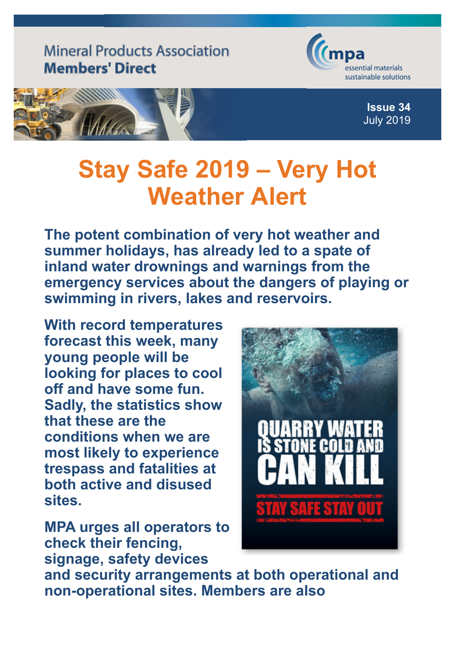## **Mineral Products Association Members' Direct**



**Issue 34** July 2019



## **Stay Safe 2019 – Very Hot Weather Alert**

**The potent combination of very hot weather and summer holidays, has already led to a spate of inland water drownings and warnings from the emergency services about the dangers of playing or swimming in rivers, lakes and reservoirs.**

**With record temperatures forecast this week, many young people will be looking for places to cool off and have some fun. Sadly, the statistics show that these are the conditions when we are most likely to experience trespass and fatalities at both active and disused sites.**

**MPA urges all operators to check their fencing, signage, safety devices**



**and security arrangements at both operational and non-operational sites. Members are also**